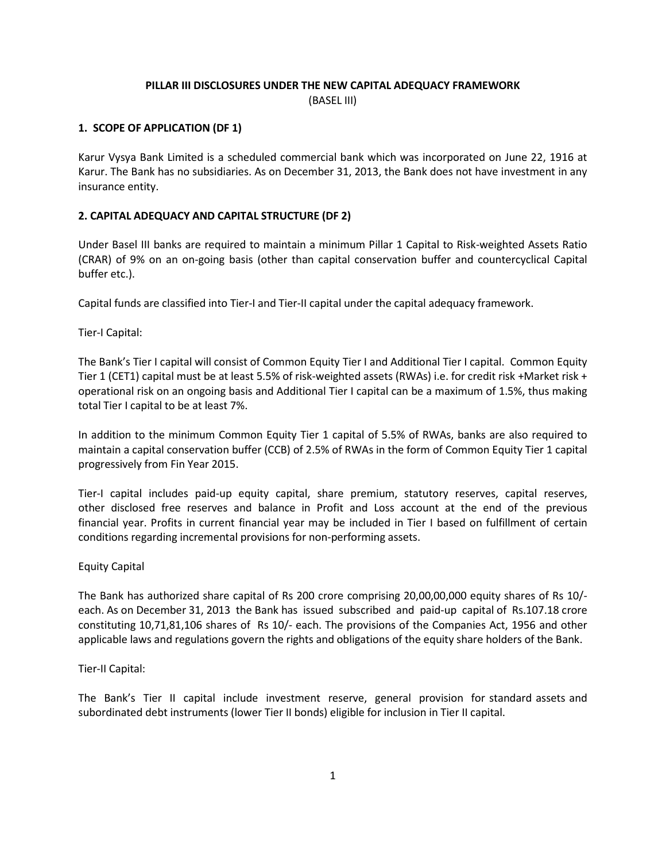# PILLAR III DISCLOSURES UNDER THE NEW CAPITAL ADEQUACY FRAMEWORK (BASEL III)

## 1. SCOPE OF APPLICATION (DF 1)

Karur Vysya Bank Limited is a scheduled commercial bank which was incorporated on June 22, 1916 at Karur. The Bank has no subsidiaries. As on December 31, 2013, the Bank does not have investment in any insurance entity.

## 2. CAPITAL ADEQUACY AND CAPITAL STRUCTURE (DF 2)

Under Basel III banks are required to maintain a minimum Pillar 1 Capital to Risk-weighted Assets Ratio (CRAR) of 9% on an on-going basis (other than capital conservation buffer and countercyclical Capital buffer etc.).

Capital funds are classified into Tier-I and Tier-II capital under the capital adequacy framework.

Tier-I Capital:

The Bank's Tier I capital will consist of Common Equity Tier I and Additional Tier I capital. Common Equity Tier 1 (CET1) capital must be at least 5.5% of risk-weighted assets (RWAs) i.e. for credit risk +Market risk + operational risk on an ongoing basis and Additional Tier I capital can be a maximum of 1.5%, thus making total Tier I capital to be at least 7%.

In addition to the minimum Common Equity Tier 1 capital of 5.5% of RWAs, banks are also required to maintain a capital conservation buffer (CCB) of 2.5% of RWAs in the form of Common Equity Tier 1 capital progressively from Fin Year 2015.

Tier-I capital includes paid-up equity capital, share premium, statutory reserves, capital reserves, other disclosed free reserves and balance in Profit and Loss account at the end of the previous financial year. Profits in current financial year may be included in Tier I based on fulfillment of certain conditions regarding incremental provisions for non-performing assets.

### Equity Capital

The Bank has authorized share capital of Rs 200 crore comprising 20,00,00,000 equity shares of Rs 10/ each. As on December 31, 2013 the Bank has issued subscribed and paid-up capital of Rs.107.18 crore constituting 10,71,81,106 shares of Rs 10/- each. The provisions of the Companies Act, 1956 and other applicable laws and regulations govern the rights and obligations of the equity share holders of the Bank.

### Tier-II Capital:

The Bank's Tier II capital include investment reserve, general provision for standard assets and subordinated debt instruments (lower Tier II bonds) eligible for inclusion in Tier II capital.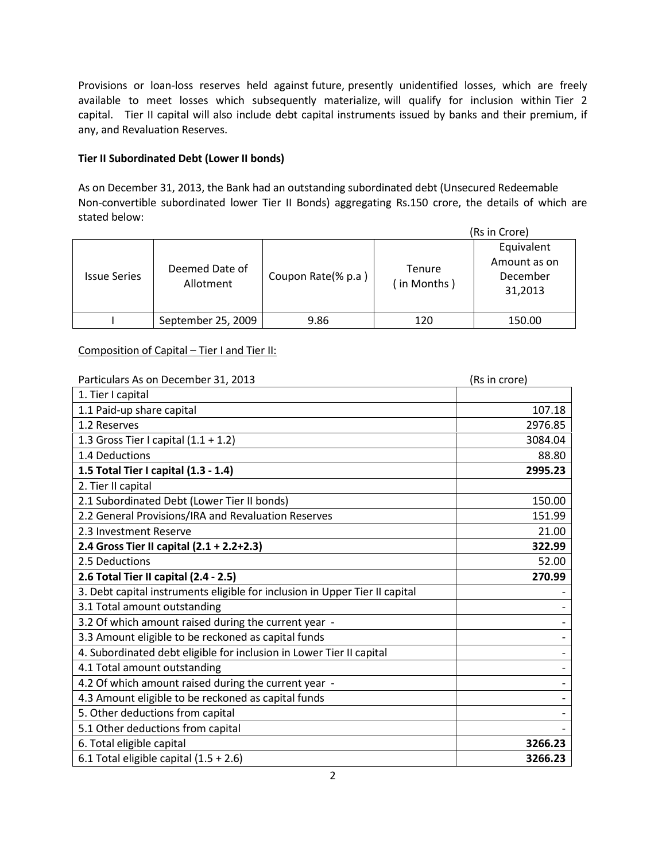Provisions or loan-loss reserves held against future, presently unidentified losses, which are freely available to meet losses which subsequently materialize, will qualify for inclusion within Tier 2 capital. Tier II capital will also include debt capital instruments issued by banks and their premium, if any, and Revaluation Reserves.

# Tier II Subordinated Debt (Lower II bonds)

As on December 31, 2013, the Bank had an outstanding subordinated debt (Unsecured Redeemable Non-convertible subordinated lower Tier II Bonds) aggregating Rs.150 crore, the details of which are stated below:

| (Rs in Crore)       |                             |                    |                       |                                                   |
|---------------------|-----------------------------|--------------------|-----------------------|---------------------------------------------------|
| <b>Issue Series</b> | Deemed Date of<br>Allotment | Coupon Rate(% p.a) | Tenure<br>(in Months) | Equivalent<br>Amount as on<br>December<br>31,2013 |
|                     | September 25, 2009          | 9.86               | 120                   | 150.00                                            |

# Composition of Capital – Tier I and Tier II:

| Particulars As on December 31, 2013                                         | (Rs in crore) |  |
|-----------------------------------------------------------------------------|---------------|--|
| 1. Tier I capital                                                           |               |  |
| 1.1 Paid-up share capital                                                   | 107.18        |  |
| 1.2 Reserves                                                                | 2976.85       |  |
| 1.3 Gross Tier I capital $(1.1 + 1.2)$                                      | 3084.04       |  |
| 1.4 Deductions                                                              | 88.80         |  |
| 1.5 Total Tier I capital (1.3 - 1.4)                                        | 2995.23       |  |
| 2. Tier II capital                                                          |               |  |
| 2.1 Subordinated Debt (Lower Tier II bonds)                                 | 150.00        |  |
| 2.2 General Provisions/IRA and Revaluation Reserves                         | 151.99        |  |
| 2.3 Investment Reserve                                                      | 21.00         |  |
| 2.4 Gross Tier II capital (2.1 + 2.2+2.3)                                   | 322.99        |  |
| 2.5 Deductions                                                              | 52.00         |  |
| 2.6 Total Tier II capital (2.4 - 2.5)                                       | 270.99        |  |
| 3. Debt capital instruments eligible for inclusion in Upper Tier II capital |               |  |
| 3.1 Total amount outstanding                                                |               |  |
| 3.2 Of which amount raised during the current year -                        |               |  |
| 3.3 Amount eligible to be reckoned as capital funds                         |               |  |
| 4. Subordinated debt eligible for inclusion in Lower Tier II capital        |               |  |
| 4.1 Total amount outstanding                                                |               |  |
| 4.2 Of which amount raised during the current year -                        |               |  |
| 4.3 Amount eligible to be reckoned as capital funds                         |               |  |
| 5. Other deductions from capital                                            |               |  |
| 5.1 Other deductions from capital                                           |               |  |
| 6. Total eligible capital                                                   | 3266.23       |  |
| 6.1 Total eligible capital $(1.5 + 2.6)$                                    | 3266.23       |  |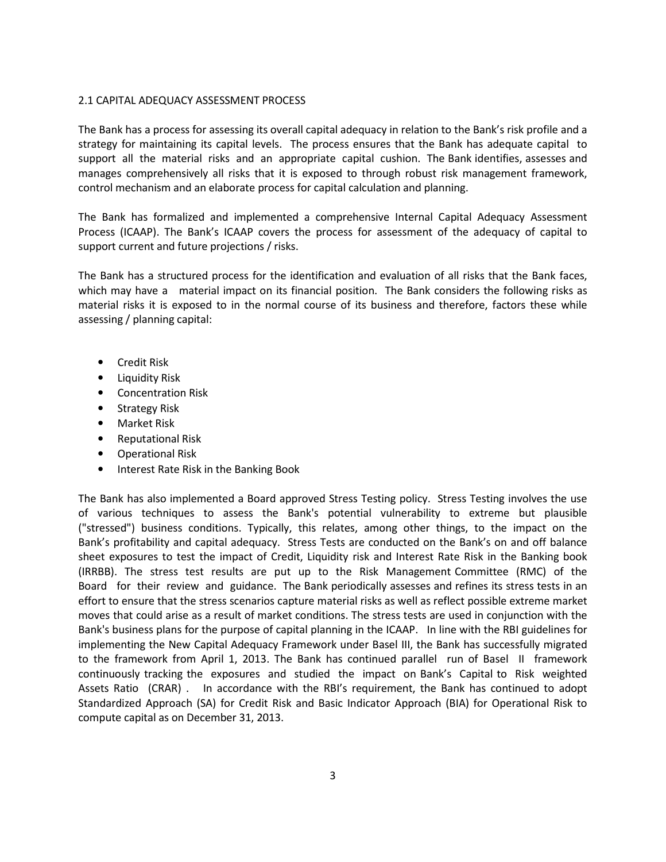### 2.1 CAPITAL ADEQUACY ASSESSMENT PROCESS

The Bank has a process for assessing its overall capital adequacy in relation to the Bank's risk profile and a strategy for maintaining its capital levels. The process ensures that the Bank has adequate capital to support all the material risks and an appropriate capital cushion. The Bank identifies, assesses and manages comprehensively all risks that it is exposed to through robust risk management framework, control mechanism and an elaborate process for capital calculation and planning.

The Bank has formalized and implemented a comprehensive Internal Capital Adequacy Assessment Process (ICAAP). The Bank's ICAAP covers the process for assessment of the adequacy of capital to support current and future projections / risks.

The Bank has a structured process for the identification and evaluation of all risks that the Bank faces, which may have a material impact on its financial position. The Bank considers the following risks as material risks it is exposed to in the normal course of its business and therefore, factors these while assessing / planning capital:

- Credit Risk
- Liquidity Risk
- Concentration Risk
- Strategy Risk
- Market Risk
- Reputational Risk
- Operational Risk
- Interest Rate Risk in the Banking Book

The Bank has also implemented a Board approved Stress Testing policy. Stress Testing involves the use of various techniques to assess the Bank's potential vulnerability to extreme but plausible ("stressed") business conditions. Typically, this relates, among other things, to the impact on the Bank's profitability and capital adequacy. Stress Tests are conducted on the Bank's on and off balance sheet exposures to test the impact of Credit, Liquidity risk and Interest Rate Risk in the Banking book (IRRBB). The stress test results are put up to the Risk Management Committee (RMC) of the Board for their review and guidance. The Bank periodically assesses and refines its stress tests in an effort to ensure that the stress scenarios capture material risks as well as reflect possible extreme market moves that could arise as a result of market conditions. The stress tests are used in conjunction with the Bank's business plans for the purpose of capital planning in the ICAAP. In line with the RBI guidelines for implementing the New Capital Adequacy Framework under Basel III, the Bank has successfully migrated to the framework from April 1, 2013. The Bank has continued parallel run of Basel II framework continuously tracking the exposures and studied the impact on Bank's Capital to Risk weighted Assets Ratio (CRAR) . In accordance with the RBI's requirement, the Bank has continued to adopt Standardized Approach (SA) for Credit Risk and Basic Indicator Approach (BIA) for Operational Risk to compute capital as on December 31, 2013.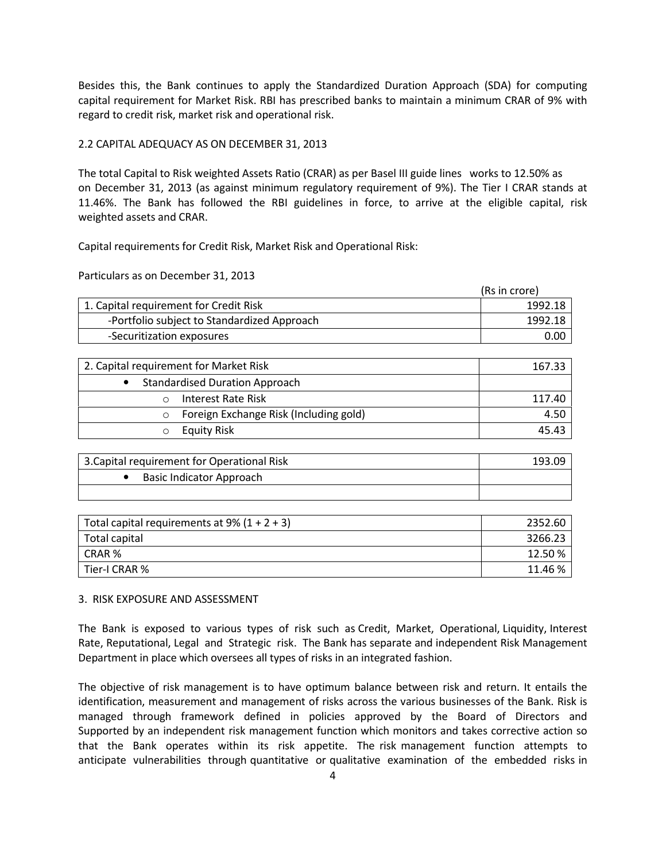Besides this, the Bank continues to apply the Standardized Duration Approach (SDA) for computing capital requirement for Market Risk. RBI has prescribed banks to maintain a minimum CRAR of 9% with regard to credit risk, market risk and operational risk.

## 2.2 CAPITAL ADEQUACY AS ON DECEMBER 31, 2013

The total Capital to Risk weighted Assets Ratio (CRAR) as per Basel III guide lines works to 12.50% as on December 31, 2013 (as against minimum regulatory requirement of 9%). The Tier I CRAR stands at 11.46%. The Bank has followed the RBI guidelines in force, to arrive at the eligible capital, risk weighted assets and CRAR.

Capital requirements for Credit Risk, Market Risk and Operational Risk:

Particulars as on December 31, 2013

|                                             | (Rs in crore) |
|---------------------------------------------|---------------|
| 1. Capital requirement for Credit Risk      | 1992.18       |
| -Portfolio subject to Standardized Approach | 1992.18       |
| -Securitization exposures                   | 0.00          |

| 2. Capital requirement for Market Risk            | 167.33 |
|---------------------------------------------------|--------|
| <b>Standardised Duration Approach</b>             |        |
| Interest Rate Risk                                | 117.40 |
| Foreign Exchange Risk (Including gold)<br>$\circ$ | 4.50   |
| <b>Equity Risk</b>                                | 45.43  |

| 3. Capital requirement for Operational Risk | 193.09 |
|---------------------------------------------|--------|
| Basic Indicator Approach                    |        |
|                                             |        |

| Total capital requirements at 9% $(1 + 2 + 3)$ | 2352.60 |
|------------------------------------------------|---------|
| Total capital                                  | 3266.23 |
| CRAR %                                         | 12.50 % |
| Tier-I CRAR %                                  | 11.46 % |

### 3. RISK EXPOSURE AND ASSESSMENT

The Bank is exposed to various types of risk such as Credit, Market, Operational, Liquidity, Interest Rate, Reputational, Legal and Strategic risk. The Bank has separate and independent Risk Management Department in place which oversees all types of risks in an integrated fashion.

The objective of risk management is to have optimum balance between risk and return. It entails the identification, measurement and management of risks across the various businesses of the Bank. Risk is managed through framework defined in policies approved by the Board of Directors and Supported by an independent risk management function which monitors and takes corrective action so that the Bank operates within its risk appetite. The risk management function attempts to anticipate vulnerabilities through quantitative or qualitative examination of the embedded risks in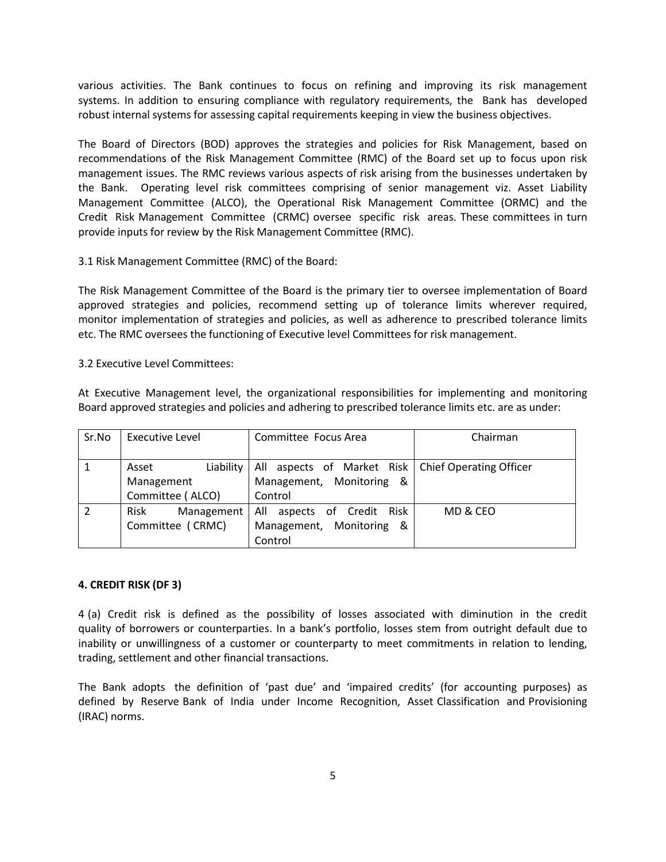various activities. The Bank continues to focus on refining and improving its risk management systems. In addition to ensuring compliance with regulatory requirements, the Bank has developed robust internal systems for assessing capital requirements keeping in view the business objectives.

The Board of Directors (BOD) approves the strategies and policies for Risk Management, based on recommendations of the Risk Management Committee (RMC) of the Board set up to focus upon risk management issues. The RMC reviews various aspects of risk arising from the businesses undertaken by the Bank. Operating level risk committees comprising of senior management viz. Asset Liability Management Committee (ALCO), the Operational Risk Management Committee (ORMC) and the Credit Risk Management Committee (CRMC) oversee specific risk areas. These committees in turn provide inputs for review by the Risk Management Committee (RMC).

## 3.1 Risk Management Committee (RMC) of the Board:

The Risk Management Committee of the Board is the primary tier to oversee implementation of Board approved strategies and policies, recommend setting up of tolerance limits wherever required, monitor implementation of strategies and policies, as well as adherence to prescribed tolerance limits etc. The RMC oversees the functioning of Executive level Committees for risk management.

### 3.2 Executive Level Committees:

At Executive Management level, the organizational responsibilities for implementing and monitoring Board approved strategies and policies and adhering to prescribed tolerance limits etc. are as under:

| Sr.No | Executive Level    | Committee Focus Area                                 | Chairman |  |
|-------|--------------------|------------------------------------------------------|----------|--|
|       |                    |                                                      |          |  |
|       | Liability<br>Asset | All aspects of Market Risk   Chief Operating Officer |          |  |
|       | Management         | Management, Monitoring &                             |          |  |
|       | Committee (ALCO)   | Control                                              |          |  |
|       | Risk<br>Management | All aspects of Credit<br>Risk                        | MD & CEO |  |
|       | Committee (CRMC)   | Management, Monitoring &                             |          |  |
|       |                    | Control                                              |          |  |

### 4. CREDIT RISK (DF 3)

4 (a) Credit risk is defined as the possibility of losses associated with diminution in the credit quality of borrowers or counterparties. In a bank's portfolio, losses stem from outright default due to inability or unwillingness of a customer or counterparty to meet commitments in relation to lending, trading, settlement and other financial transactions.

The Bank adopts the definition of 'past due' and 'impaired credits' (for accounting purposes) as defined by Reserve Bank of India under Income Recognition, Asset Classification and Provisioning (IRAC) norms.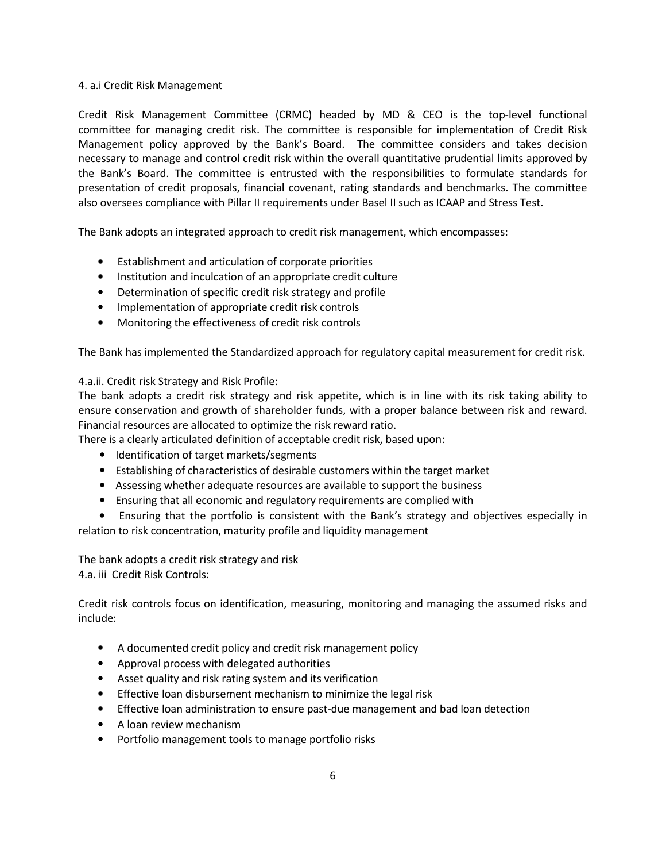## 4. a.i Credit Risk Management

Credit Risk Management Committee (CRMC) headed by MD & CEO is the top-level functional committee for managing credit risk. The committee is responsible for implementation of Credit Risk Management policy approved by the Bank's Board. The committee considers and takes decision necessary to manage and control credit risk within the overall quantitative prudential limits approved by the Bank's Board. The committee is entrusted with the responsibilities to formulate standards for presentation of credit proposals, financial covenant, rating standards and benchmarks. The committee also oversees compliance with Pillar II requirements under Basel II such as ICAAP and Stress Test.

The Bank adopts an integrated approach to credit risk management, which encompasses:

- Establishment and articulation of corporate priorities
- Institution and inculcation of an appropriate credit culture
- Determination of specific credit risk strategy and profile
- Implementation of appropriate credit risk controls
- Monitoring the effectiveness of credit risk controls

The Bank has implemented the Standardized approach for regulatory capital measurement for credit risk.

## 4.a.ii. Credit risk Strategy and Risk Profile:

The bank adopts a credit risk strategy and risk appetite, which is in line with its risk taking ability to ensure conservation and growth of shareholder funds, with a proper balance between risk and reward. Financial resources are allocated to optimize the risk reward ratio.

There is a clearly articulated definition of acceptable credit risk, based upon:

- Identification of target markets/segments
- Establishing of characteristics of desirable customers within the target market
- Assessing whether adequate resources are available to support the business
- Ensuring that all economic and regulatory requirements are complied with

 • Ensuring that the portfolio is consistent with the Bank's strategy and objectives especially in relation to risk concentration, maturity profile and liquidity management

The bank adopts a credit risk strategy and risk 4.a. iii Credit Risk Controls:

Credit risk controls focus on identification, measuring, monitoring and managing the assumed risks and include:

- A documented credit policy and credit risk management policy
- Approval process with delegated authorities
- Asset quality and risk rating system and its verification
- Effective loan disbursement mechanism to minimize the legal risk
- Effective loan administration to ensure past-due management and bad loan detection
- A loan review mechanism
- Portfolio management tools to manage portfolio risks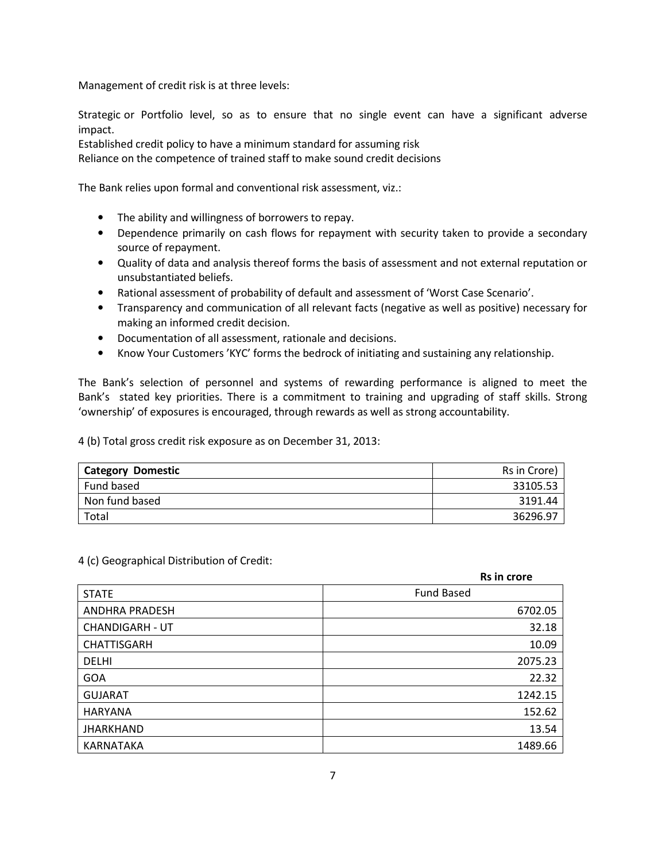Management of credit risk is at three levels:

Strategic or Portfolio level, so as to ensure that no single event can have a significant adverse impact.

Established credit policy to have a minimum standard for assuming risk

Reliance on the competence of trained staff to make sound credit decisions

The Bank relies upon formal and conventional risk assessment, viz.:

- The ability and willingness of borrowers to repay.
- Dependence primarily on cash flows for repayment with security taken to provide a secondary source of repayment.
- Quality of data and analysis thereof forms the basis of assessment and not external reputation or unsubstantiated beliefs.
- Rational assessment of probability of default and assessment of 'Worst Case Scenario'.
- Transparency and communication of all relevant facts (negative as well as positive) necessary for making an informed credit decision.
- Documentation of all assessment, rationale and decisions.
- Know Your Customers 'KYC' forms the bedrock of initiating and sustaining any relationship.

The Bank's selection of personnel and systems of rewarding performance is aligned to meet the Bank's stated key priorities. There is a commitment to training and upgrading of staff skills. Strong 'ownership' of exposures is encouraged, through rewards as well as strong accountability.

4 (b) Total gross credit risk exposure as on December 31, 2013:

| <b>Domestic</b><br>Category | Rs in Crore) |
|-----------------------------|--------------|
| Fund based                  | 33105.53     |
| Non fund based              | 3191.44      |
| Total                       | 36296.97     |

4 (c) Geographical Distribution of Credit:

|                        | <b>Rs in crore</b> |
|------------------------|--------------------|
| <b>STATE</b>           | <b>Fund Based</b>  |
| <b>ANDHRA PRADESH</b>  | 6702.05            |
| <b>CHANDIGARH - UT</b> | 32.18              |
| <b>CHATTISGARH</b>     | 10.09              |
| <b>DELHI</b>           | 2075.23            |
| <b>GOA</b>             | 22.32              |
| <b>GUJARAT</b>         | 1242.15            |
| <b>HARYANA</b>         | 152.62             |
| <b>JHARKHAND</b>       | 13.54              |
| KARNATAKA              | 1489.66            |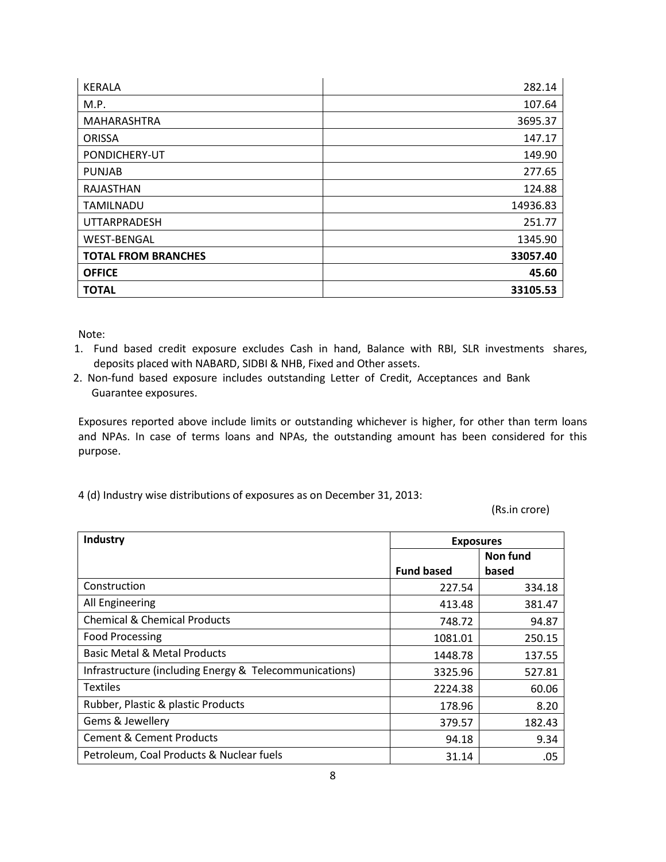| <b>KERALA</b>              | 282.14   |
|----------------------------|----------|
| M.P.                       | 107.64   |
| MAHARASHTRA                | 3695.37  |
| <b>ORISSA</b>              | 147.17   |
| PONDICHERY-UT              | 149.90   |
| <b>PUNJAB</b>              | 277.65   |
| RAJASTHAN                  | 124.88   |
| <b>TAMILNADU</b>           | 14936.83 |
| <b>UTTARPRADESH</b>        | 251.77   |
| <b>WEST-BENGAL</b>         | 1345.90  |
| <b>TOTAL FROM BRANCHES</b> | 33057.40 |
| <b>OFFICE</b>              | 45.60    |
| <b>TOTAL</b>               | 33105.53 |

Note:

- 1. Fund based credit exposure excludes Cash in hand, Balance with RBI, SLR investments shares, deposits placed with NABARD, SIDBI & NHB, Fixed and Other assets.
- 2. Non-fund based exposure includes outstanding Letter of Credit, Acceptances and Bank Guarantee exposures.

Exposures reported above include limits or outstanding whichever is higher, for other than term loans and NPAs. In case of terms loans and NPAs, the outstanding amount has been considered for this purpose.

4 (d) Industry wise distributions of exposures as on December 31, 2013:

(Rs.in crore)

| <b>Industry</b>                                        | <b>Exposures</b>  |          |
|--------------------------------------------------------|-------------------|----------|
|                                                        |                   | Non fund |
|                                                        | <b>Fund based</b> | based    |
| Construction                                           | 227.54            | 334.18   |
| All Engineering                                        | 413.48            | 381.47   |
| <b>Chemical &amp; Chemical Products</b>                | 748.72            | 94.87    |
| <b>Food Processing</b>                                 | 1081.01           | 250.15   |
| Basic Metal & Metal Products                           | 1448.78           | 137.55   |
| Infrastructure (including Energy & Telecommunications) | 3325.96           | 527.81   |
| <b>Textiles</b>                                        | 2224.38           | 60.06    |
| Rubber, Plastic & plastic Products                     | 178.96            | 8.20     |
| Gems & Jewellery                                       | 379.57            | 182.43   |
| <b>Cement &amp; Cement Products</b>                    | 94.18             | 9.34     |
| Petroleum, Coal Products & Nuclear fuels               | 31.14             | .05      |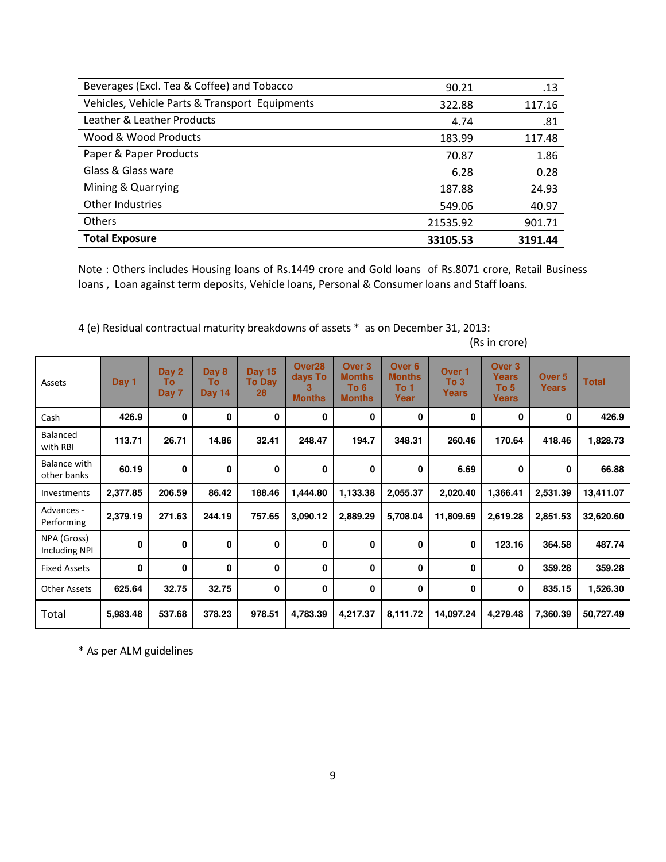| Beverages (Excl. Tea & Coffee) and Tobacco     | 90.21    | .13     |
|------------------------------------------------|----------|---------|
| Vehicles, Vehicle Parts & Transport Equipments | 322.88   | 117.16  |
| Leather & Leather Products                     | 4.74     | .81     |
| Wood & Wood Products                           | 183.99   | 117.48  |
| Paper & Paper Products                         | 70.87    | 1.86    |
| Glass & Glass ware                             | 6.28     | 0.28    |
| Mining & Quarrying                             | 187.88   | 24.93   |
| <b>Other Industries</b>                        | 549.06   | 40.97   |
| <b>Others</b>                                  | 21535.92 | 901.71  |
| <b>Total Exposure</b>                          | 33105.53 | 3191.44 |

Note : Others includes Housing loans of Rs.1449 crore and Gold loans of Rs.8071 crore, Retail Business loans , Loan against term deposits, Vehicle loans, Personal & Consumer loans and Staff loans.

4 (e) Residual contractual maturity breakdowns of assets \* as on December 31, 2013:

| Assets                       | Day 1        | Day 2<br>Τо<br>Day 7 | Day 8<br>Τo<br><b>Day 14</b> | <b>Day 15</b><br><b>To Day</b><br>28 | Over <sub>28</sub><br>days To<br><b>Months</b> | Over <sub>3</sub><br><b>Months</b><br>To 6<br><b>Months</b> | Over <sub>6</sub><br><b>Months</b><br>To 1<br>Year | Over 1<br>To 3<br>Years | Over <sub>3</sub><br>Years<br>To 5<br>Years | Over <sub>5</sub><br><b>Years</b> | <b>Total</b> |
|------------------------------|--------------|----------------------|------------------------------|--------------------------------------|------------------------------------------------|-------------------------------------------------------------|----------------------------------------------------|-------------------------|---------------------------------------------|-----------------------------------|--------------|
| Cash                         | 426.9        | 0                    | 0                            | 0                                    | 0                                              | 0                                                           | 0                                                  | 0                       | 0                                           | 0                                 | 426.9        |
| Balanced<br>with RBI         | 113.71       | 26.71                | 14.86                        | 32.41                                | 248.47                                         | 194.7                                                       | 348.31                                             | 260.46                  | 170.64                                      | 418.46                            | 1,828.73     |
| Balance with<br>other banks  | 60.19        | $\mathbf 0$          | 0                            | 0                                    | 0                                              | 0                                                           | 0                                                  | 6.69                    | 0                                           | 0                                 | 66.88        |
| Investments                  | 2,377.85     | 206.59               | 86.42                        | 188.46                               | 1,444.80                                       | 1,133.38                                                    | 2,055.37                                           | 2,020.40                | 1,366.41                                    | 2,531.39                          | 13,411.07    |
| Advances -<br>Performing     | 2,379.19     | 271.63               | 244.19                       | 757.65                               | 3,090.12                                       | 2,889.29                                                    | 5,708.04                                           | 11,809.69               | 2,619.28                                    | 2,851.53                          | 32,620.60    |
| NPA (Gross)<br>Including NPI | $\mathbf{0}$ | $\mathbf 0$          | 0                            | 0                                    | 0                                              | 0                                                           | 0                                                  | 0                       | 123.16                                      | 364.58                            | 487.74       |
| <b>Fixed Assets</b>          | 0            | $\mathbf 0$          | 0                            | 0                                    | 0                                              | 0                                                           | 0                                                  | 0                       | 0                                           | 359.28                            | 359.28       |
| <b>Other Assets</b>          | 625.64       | 32.75                | 32.75                        | 0                                    | 0                                              | 0                                                           | 0                                                  | 0                       | 0                                           | 835.15                            | 1,526.30     |
| Total                        | 5,983.48     | 537.68               | 378.23                       | 978.51                               | 4,783.39                                       | 4,217.37                                                    | 8,111.72                                           | 14,097.24               | 4,279.48                                    | 7,360.39                          | 50,727.49    |

(Rs in crore)

\* As per ALM guidelines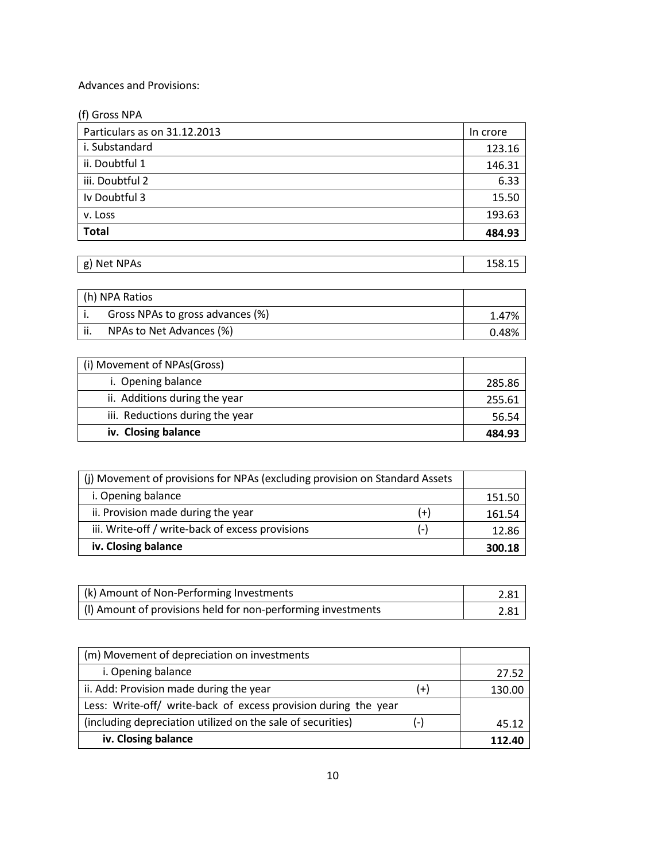# Advances and Provisions:

| (f) Gross NPA                |          |
|------------------------------|----------|
| Particulars as on 31.12.2013 | In crore |
| i. Substandard               | 123.16   |
| ii. Doubtful 1               | 146.31   |
| iii. Doubtful 2              | 6.33     |
| Iv Doubtful 3                | 15.50    |
| v. Loss                      | 193.63   |
| <b>Total</b>                 | 484.93   |

| g) Net NPAs | 158.15 |
|-------------|--------|
|             |        |

| (h) NPA Ratios                   |       |
|----------------------------------|-------|
| Gross NPAs to gross advances (%) | 1.47% |
| NPAs to Net Advances (%)         | 0.48% |

| (i) Movement of NPAs(Gross)     |        |
|---------------------------------|--------|
| i. Opening balance              | 285.86 |
| ii. Additions during the year   | 255.61 |
| iii. Reductions during the year | 56.54  |
| iv. Closing balance             | 484.93 |

| (i) Movement of provisions for NPAs (excluding provision on Standard Assets |       |        |
|-----------------------------------------------------------------------------|-------|--------|
| i. Opening balance                                                          |       | 151.50 |
| ii. Provision made during the year                                          | $(+)$ | 161.54 |
| iii. Write-off / write-back of excess provisions                            | ( – ) | 12.86  |
| iv. Closing balance                                                         |       |        |

| (k) Amount of Non-Performing Investments                     | 2.81 |
|--------------------------------------------------------------|------|
| (I) Amount of provisions held for non-performing investments | 2.81 |

| (m) Movement of depreciation on investments                     |       |        |
|-----------------------------------------------------------------|-------|--------|
| i. Opening balance                                              |       | 27.52  |
| ii. Add: Provision made during the year                         | (+)   | 130.00 |
| Less: Write-off/ write-back of excess provision during the year |       |        |
| (including depreciation utilized on the sale of securities)     | $(-)$ | 45.12  |
| iv. Closing balance                                             |       | 112.40 |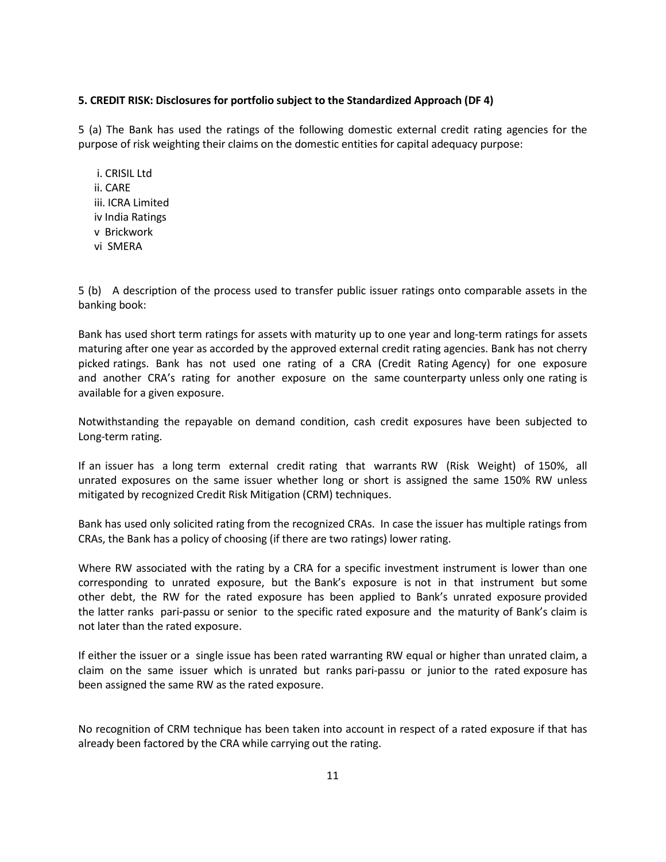## 5. CREDIT RISK: Disclosures for portfolio subject to the Standardized Approach (DF 4)

5 (a) The Bank has used the ratings of the following domestic external credit rating agencies for the purpose of risk weighting their claims on the domestic entities for capital adequacy purpose:

 i. CRISIL Ltd ii. CARE iii. ICRA Limited iv India Ratings v Brickwork vi SMERA

5 (b) A description of the process used to transfer public issuer ratings onto comparable assets in the banking book:

Bank has used short term ratings for assets with maturity up to one year and long-term ratings for assets maturing after one year as accorded by the approved external credit rating agencies. Bank has not cherry picked ratings. Bank has not used one rating of a CRA (Credit Rating Agency) for one exposure and another CRA's rating for another exposure on the same counterparty unless only one rating is available for a given exposure.

Notwithstanding the repayable on demand condition, cash credit exposures have been subjected to Long-term rating.

If an issuer has a long term external credit rating that warrants RW (Risk Weight) of 150%, all unrated exposures on the same issuer whether long or short is assigned the same 150% RW unless mitigated by recognized Credit Risk Mitigation (CRM) techniques.

Bank has used only solicited rating from the recognized CRAs. In case the issuer has multiple ratings from CRAs, the Bank has a policy of choosing (if there are two ratings) lower rating.

Where RW associated with the rating by a CRA for a specific investment instrument is lower than one corresponding to unrated exposure, but the Bank's exposure is not in that instrument but some other debt, the RW for the rated exposure has been applied to Bank's unrated exposure provided the latter ranks pari-passu or senior to the specific rated exposure and the maturity of Bank's claim is not later than the rated exposure.

If either the issuer or a single issue has been rated warranting RW equal or higher than unrated claim, a claim on the same issuer which is unrated but ranks pari-passu or junior to the rated exposure has been assigned the same RW as the rated exposure.

No recognition of CRM technique has been taken into account in respect of a rated exposure if that has already been factored by the CRA while carrying out the rating.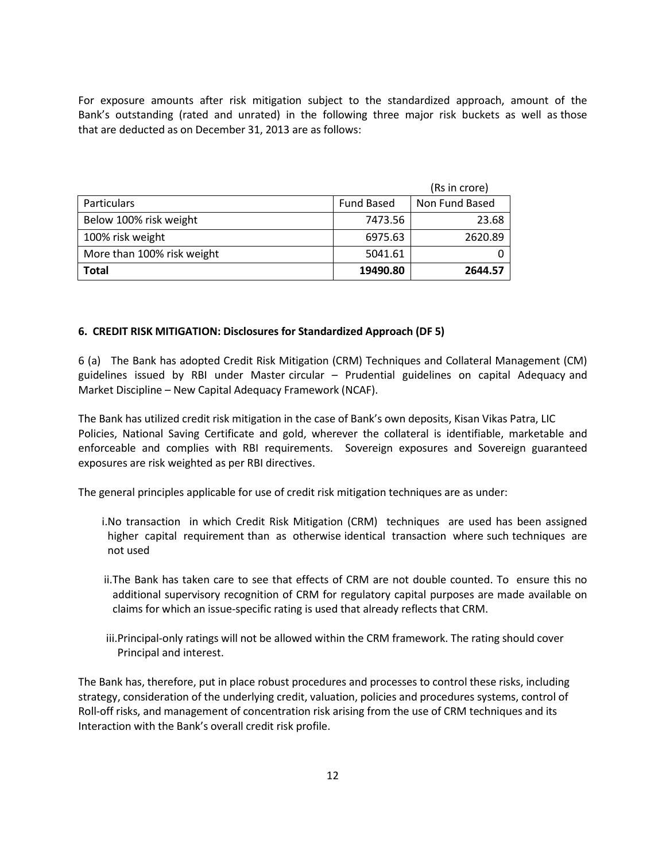For exposure amounts after risk mitigation subject to the standardized approach, amount of the Bank's outstanding (rated and unrated) in the following three major risk buckets as well as those that are deducted as on December 31, 2013 are as follows:

|                            |                   | (Rs in crore)  |
|----------------------------|-------------------|----------------|
| <b>Particulars</b>         | <b>Fund Based</b> | Non Fund Based |
| Below 100% risk weight     | 7473.56           | 23.68          |
| 100% risk weight           | 6975.63           | 2620.89        |
| More than 100% risk weight | 5041.61           |                |
| <b>Total</b>               | 19490.80          | 2644.57        |

### 6. CREDIT RISK MITIGATION: Disclosures for Standardized Approach (DF 5)

6 (a) The Bank has adopted Credit Risk Mitigation (CRM) Techniques and Collateral Management (CM) guidelines issued by RBI under Master circular – Prudential guidelines on capital Adequacy and Market Discipline – New Capital Adequacy Framework (NCAF).

The Bank has utilized credit risk mitigation in the case of Bank's own deposits, Kisan Vikas Patra, LIC Policies, National Saving Certificate and gold, wherever the collateral is identifiable, marketable and enforceable and complies with RBI requirements. Sovereign exposures and Sovereign guaranteed exposures are risk weighted as per RBI directives.

The general principles applicable for use of credit risk mitigation techniques are as under:

- i.No transaction in which Credit Risk Mitigation (CRM) techniques are used has been assigned higher capital requirement than as otherwise identical transaction where such techniques are not used
- ii.The Bank has taken care to see that effects of CRM are not double counted. To ensure this no additional supervisory recognition of CRM for regulatory capital purposes are made available on claims for which an issue-specific rating is used that already reflects that CRM.
- iii.Principal-only ratings will not be allowed within the CRM framework. The rating should cover Principal and interest.

The Bank has, therefore, put in place robust procedures and processes to control these risks, including strategy, consideration of the underlying credit, valuation, policies and procedures systems, control of Roll-off risks, and management of concentration risk arising from the use of CRM techniques and its Interaction with the Bank's overall credit risk profile.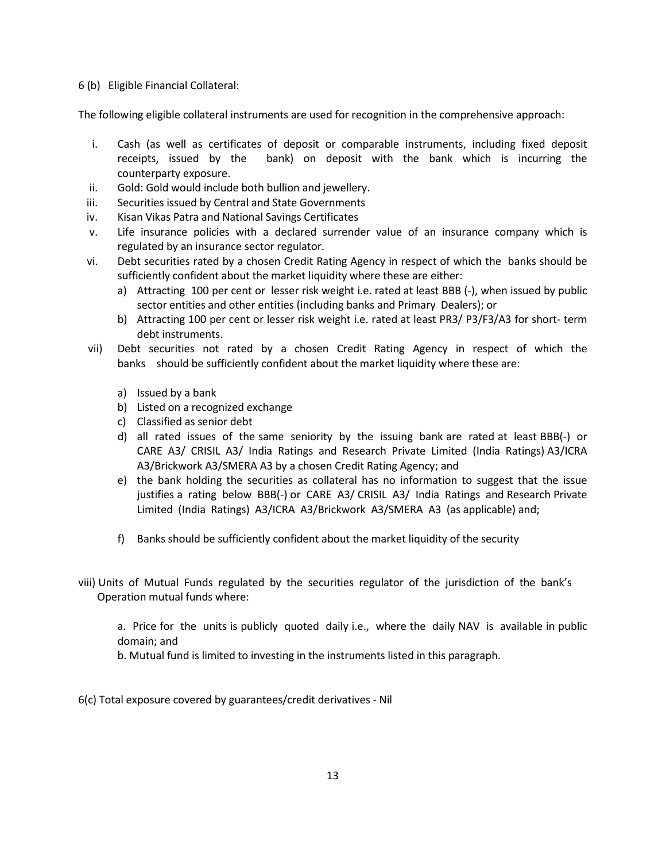6 (b) Eligible Financial Collateral:

The following eligible collateral instruments are used for recognition in the comprehensive approach:

- i. Cash (as well as certificates of deposit or comparable instruments, including fixed deposit receipts, issued by the bank) on deposit with the bank which is incurring the counterparty exposure.
- ii. Gold: Gold would include both bullion and jewellery.
- iii. Securities issued by Central and State Governments
- iv. Kisan Vikas Patra and National Savings Certificates
- v. Life insurance policies with a declared surrender value of an insurance company which is regulated by an insurance sector regulator.
- vi. Debt securities rated by a chosen Credit Rating Agency in respect of which the banks should be sufficiently confident about the market liquidity where these are either:
	- a) Attracting 100 per cent or lesser risk weight i.e. rated at least BBB (-), when issued by public sector entities and other entities (including banks and Primary Dealers); or
	- b) Attracting 100 per cent or lesser risk weight i.e. rated at least PR3/ P3/F3/A3 for short- term debt instruments.
- vii) Debt securities not rated by a chosen Credit Rating Agency in respect of which the banks should be sufficiently confident about the market liquidity where these are:
	- a) Issued by a bank
	- b) Listed on a recognized exchange
	- c) Classified as senior debt
	- d) all rated issues of the same seniority by the issuing bank are rated at least BBB(-) or CARE A3/ CRISIL A3/ India Ratings and Research Private Limited (India Ratings) A3/ICRA A3/Brickwork A3/SMERA A3 by a chosen Credit Rating Agency; and
	- e) the bank holding the securities as collateral has no information to suggest that the issue justifies a rating below BBB(-) or CARE A3/ CRISIL A3/ India Ratings and Research Private Limited (India Ratings) A3/ICRA A3/Brickwork A3/SMERA A3 (as applicable) and;
	- f) Banks should be sufficiently confident about the market liquidity of the security
- viii) Units of Mutual Funds regulated by the securities regulator of the jurisdiction of the bank's Operation mutual funds where:

a. Price for the units is publicly quoted daily i.e., where the daily NAV is available in public domain; and

b. Mutual fund is limited to investing in the instruments listed in this paragraph.

6(c) Total exposure covered by guarantees/credit derivatives - Nil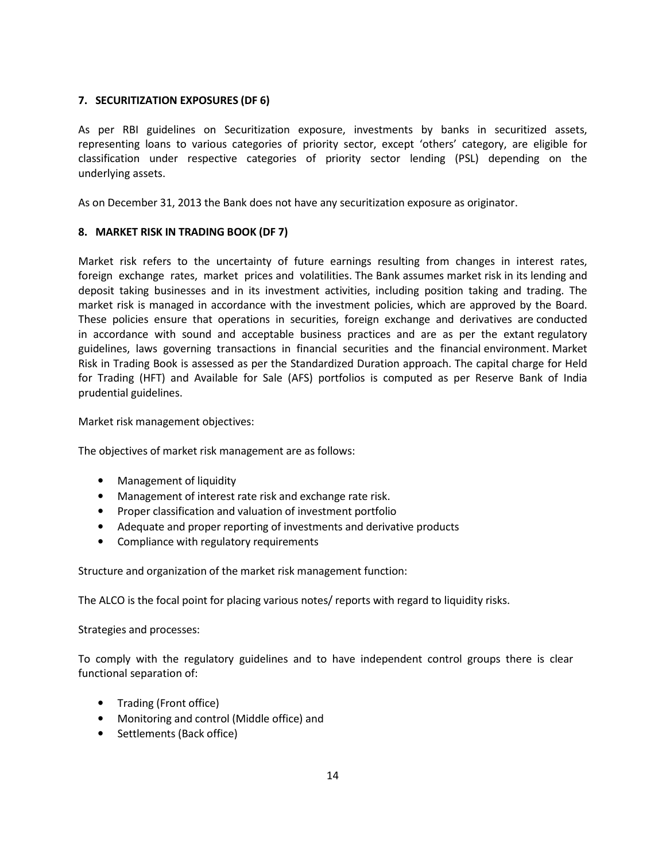# 7. SECURITIZATION EXPOSURES (DF 6)

As per RBI guidelines on Securitization exposure, investments by banks in securitized assets, representing loans to various categories of priority sector, except 'others' category, are eligible for classification under respective categories of priority sector lending (PSL) depending on the underlying assets.

As on December 31, 2013 the Bank does not have any securitization exposure as originator.

# 8. MARKET RISK IN TRADING BOOK (DF 7)

Market risk refers to the uncertainty of future earnings resulting from changes in interest rates, foreign exchange rates, market prices and volatilities. The Bank assumes market risk in its lending and deposit taking businesses and in its investment activities, including position taking and trading. The market risk is managed in accordance with the investment policies, which are approved by the Board. These policies ensure that operations in securities, foreign exchange and derivatives are conducted in accordance with sound and acceptable business practices and are as per the extant regulatory guidelines, laws governing transactions in financial securities and the financial environment. Market Risk in Trading Book is assessed as per the Standardized Duration approach. The capital charge for Held for Trading (HFT) and Available for Sale (AFS) portfolios is computed as per Reserve Bank of India prudential guidelines.

Market risk management objectives:

The objectives of market risk management are as follows:

- Management of liquidity
- Management of interest rate risk and exchange rate risk.
- Proper classification and valuation of investment portfolio
- Adequate and proper reporting of investments and derivative products
- Compliance with regulatory requirements

Structure and organization of the market risk management function:

The ALCO is the focal point for placing various notes/ reports with regard to liquidity risks.

Strategies and processes:

To comply with the regulatory guidelines and to have independent control groups there is clear functional separation of:

- Trading (Front office)
- Monitoring and control (Middle office) and
- Settlements (Back office)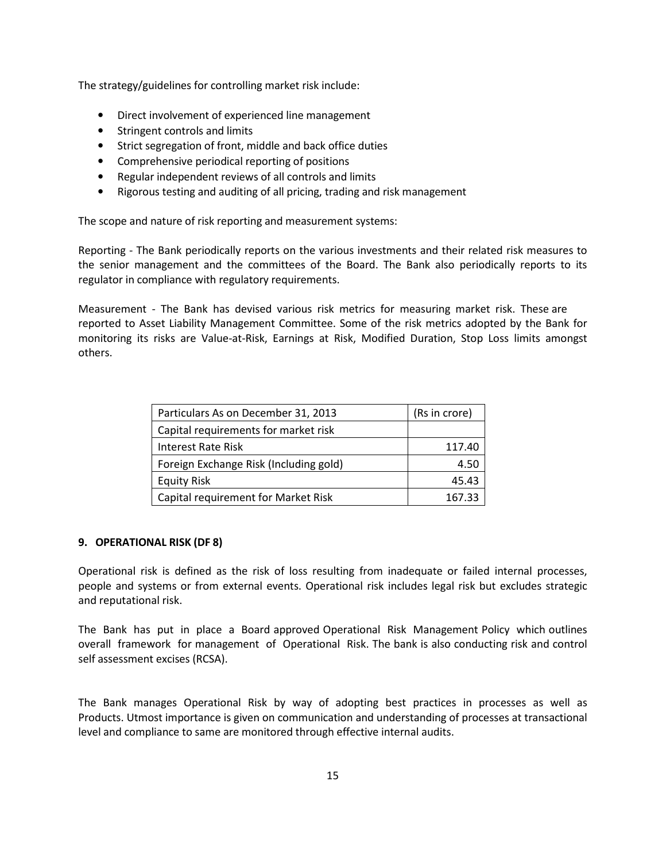The strategy/guidelines for controlling market risk include:

- Direct involvement of experienced line management
- Stringent controls and limits
- Strict segregation of front, middle and back office duties
- Comprehensive periodical reporting of positions
- Regular independent reviews of all controls and limits
- Rigorous testing and auditing of all pricing, trading and risk management

The scope and nature of risk reporting and measurement systems:

Reporting - The Bank periodically reports on the various investments and their related risk measures to the senior management and the committees of the Board. The Bank also periodically reports to its regulator in compliance with regulatory requirements.

Measurement - The Bank has devised various risk metrics for measuring market risk. These are reported to Asset Liability Management Committee. Some of the risk metrics adopted by the Bank for monitoring its risks are Value-at-Risk, Earnings at Risk, Modified Duration, Stop Loss limits amongst others.

| Particulars As on December 31, 2013    | (Rs in crore) |
|----------------------------------------|---------------|
| Capital requirements for market risk   |               |
| Interest Rate Risk                     | 117.40        |
| Foreign Exchange Risk (Including gold) | 4.50          |
| <b>Equity Risk</b>                     | 45.43         |
| Capital requirement for Market Risk    | 167.33        |

### 9. OPERATIONAL RISK (DF 8)

Operational risk is defined as the risk of loss resulting from inadequate or failed internal processes, people and systems or from external events. Operational risk includes legal risk but excludes strategic and reputational risk.

The Bank has put in place a Board approved Operational Risk Management Policy which outlines overall framework for management of Operational Risk. The bank is also conducting risk and control self assessment excises (RCSA).

The Bank manages Operational Risk by way of adopting best practices in processes as well as Products. Utmost importance is given on communication and understanding of processes at transactional level and compliance to same are monitored through effective internal audits.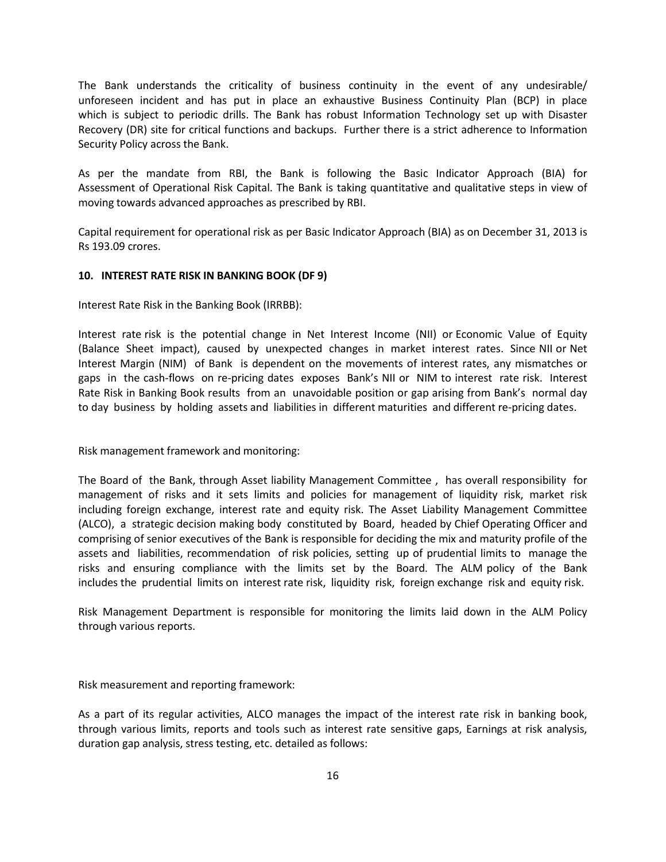The Bank understands the criticality of business continuity in the event of any undesirable/ unforeseen incident and has put in place an exhaustive Business Continuity Plan (BCP) in place which is subject to periodic drills. The Bank has robust Information Technology set up with Disaster Recovery (DR) site for critical functions and backups. Further there is a strict adherence to Information Security Policy across the Bank.

As per the mandate from RBI, the Bank is following the Basic Indicator Approach (BIA) for Assessment of Operational Risk Capital. The Bank is taking quantitative and qualitative steps in view of moving towards advanced approaches as prescribed by RBI.

Capital requirement for operational risk as per Basic Indicator Approach (BIA) as on December 31, 2013 is Rs 193.09 crores.

## 10. INTEREST RATE RISK IN BANKING BOOK (DF 9)

Interest Rate Risk in the Banking Book (IRRBB):

Interest rate risk is the potential change in Net Interest Income (NII) or Economic Value of Equity (Balance Sheet impact), caused by unexpected changes in market interest rates. Since NII or Net Interest Margin (NIM) of Bank is dependent on the movements of interest rates, any mismatches or gaps in the cash-flows on re-pricing dates exposes Bank's NII or NIM to interest rate risk. Interest Rate Risk in Banking Book results from an unavoidable position or gap arising from Bank's normal day to day business by holding assets and liabilities in different maturities and different re-pricing dates.

Risk management framework and monitoring:

The Board of the Bank, through Asset liability Management Committee , has overall responsibility for management of risks and it sets limits and policies for management of liquidity risk, market risk including foreign exchange, interest rate and equity risk. The Asset Liability Management Committee (ALCO), a strategic decision making body constituted by Board, headed by Chief Operating Officer and comprising of senior executives of the Bank is responsible for deciding the mix and maturity profile of the assets and liabilities, recommendation of risk policies, setting up of prudential limits to manage the risks and ensuring compliance with the limits set by the Board. The ALM policy of the Bank includes the prudential limits on interest rate risk, liquidity risk, foreign exchange risk and equity risk.

Risk Management Department is responsible for monitoring the limits laid down in the ALM Policy through various reports.

Risk measurement and reporting framework:

As a part of its regular activities, ALCO manages the impact of the interest rate risk in banking book, through various limits, reports and tools such as interest rate sensitive gaps, Earnings at risk analysis, duration gap analysis, stress testing, etc. detailed as follows: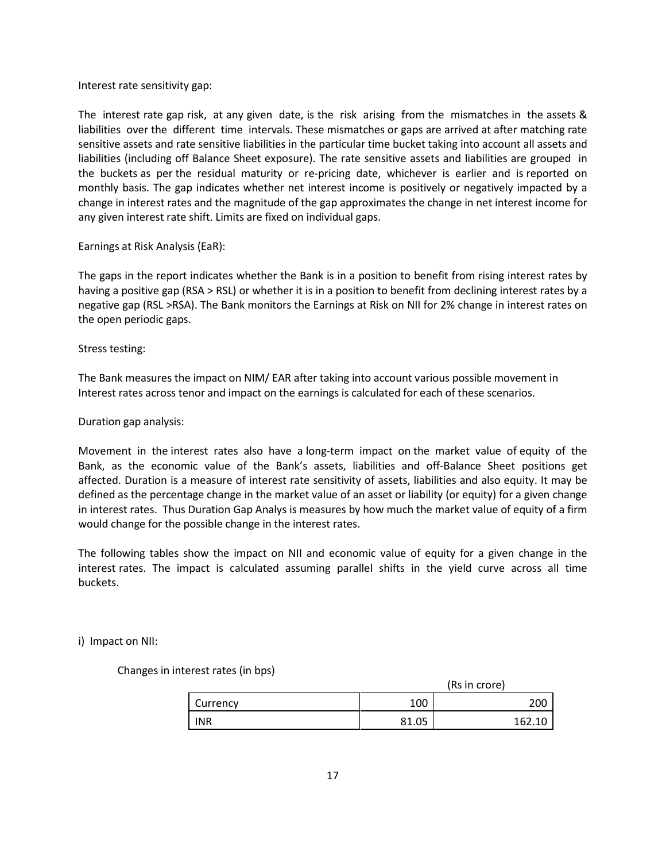Interest rate sensitivity gap:

The interest rate gap risk, at any given date, is the risk arising from the mismatches in the assets & liabilities over the different time intervals. These mismatches or gaps are arrived at after matching rate sensitive assets and rate sensitive liabilities in the particular time bucket taking into account all assets and liabilities (including off Balance Sheet exposure). The rate sensitive assets and liabilities are grouped in the buckets as per the residual maturity or re-pricing date, whichever is earlier and is reported on monthly basis. The gap indicates whether net interest income is positively or negatively impacted by a change in interest rates and the magnitude of the gap approximates the change in net interest income for any given interest rate shift. Limits are fixed on individual gaps.

Earnings at Risk Analysis (EaR):

The gaps in the report indicates whether the Bank is in a position to benefit from rising interest rates by having a positive gap (RSA > RSL) or whether it is in a position to benefit from declining interest rates by a negative gap (RSL >RSA). The Bank monitors the Earnings at Risk on NII for 2% change in interest rates on the open periodic gaps.

Stress testing:

The Bank measures the impact on NIM/ EAR after taking into account various possible movement in Interest rates across tenor and impact on the earnings is calculated for each of these scenarios.

Duration gap analysis:

Movement in the interest rates also have a long-term impact on the market value of equity of the Bank, as the economic value of the Bank's assets, liabilities and off-Balance Sheet positions get affected. Duration is a measure of interest rate sensitivity of assets, liabilities and also equity. It may be defined as the percentage change in the market value of an asset or liability (or equity) for a given change in interest rates. Thus Duration Gap Analys is measures by how much the market value of equity of a firm would change for the possible change in the interest rates.

The following tables show the impact on NII and economic value of equity for a given change in the interest rates. The impact is calculated assuming parallel shifts in the yield curve across all time buckets.

i) Impact on NII:

Changes in interest rates (in bps)

|            |       | (Rs in crore) |
|------------|-------|---------------|
| Currency   | 100   | 200           |
| <b>INR</b> | 81.05 | 162.10        |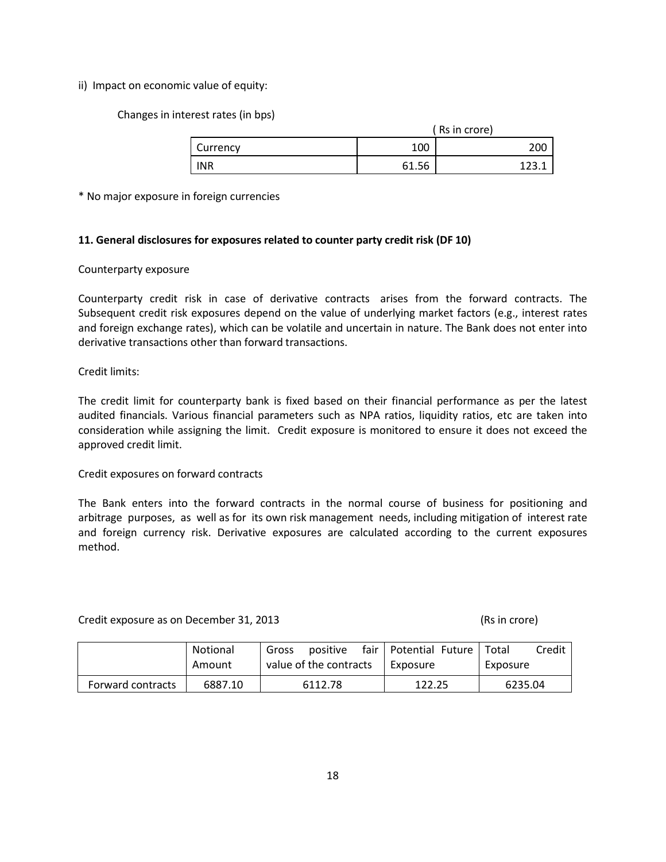ii) Impact on economic value of equity:

Changes in interest rates (in bps)

|            |       | (Rs in crore) |
|------------|-------|---------------|
| Currency   | 100   | 200           |
| <b>INR</b> | 61.56 |               |

\* No major exposure in foreign currencies

# 11. General disclosures for exposures related to counter party credit risk (DF 10)

## Counterparty exposure

Counterparty credit risk in case of derivative contracts arises from the forward contracts. The Subsequent credit risk exposures depend on the value of underlying market factors (e.g., interest rates and foreign exchange rates), which can be volatile and uncertain in nature. The Bank does not enter into derivative transactions other than forward transactions.

## Credit limits:

The credit limit for counterparty bank is fixed based on their financial performance as per the latest audited financials. Various financial parameters such as NPA ratios, liquidity ratios, etc are taken into consideration while assigning the limit. Credit exposure is monitored to ensure it does not exceed the approved credit limit.

### Credit exposures on forward contracts

The Bank enters into the forward contracts in the normal course of business for positioning and arbitrage purposes, as well as for its own risk management needs, including mitigation of interest rate and foreign currency risk. Derivative exposures are calculated according to the current exposures method.

Credit exposure as on December 31, 2013 (Rs in crore)

|                   | Notional | positive<br>Gross      | fair   Potential Future   Total | Credit   |
|-------------------|----------|------------------------|---------------------------------|----------|
|                   | Amount   | value of the contracts | l Exposure                      | Exposure |
| Forward contracts | 6887.10  | 6112.78                | 122.25                          | 6235.04  |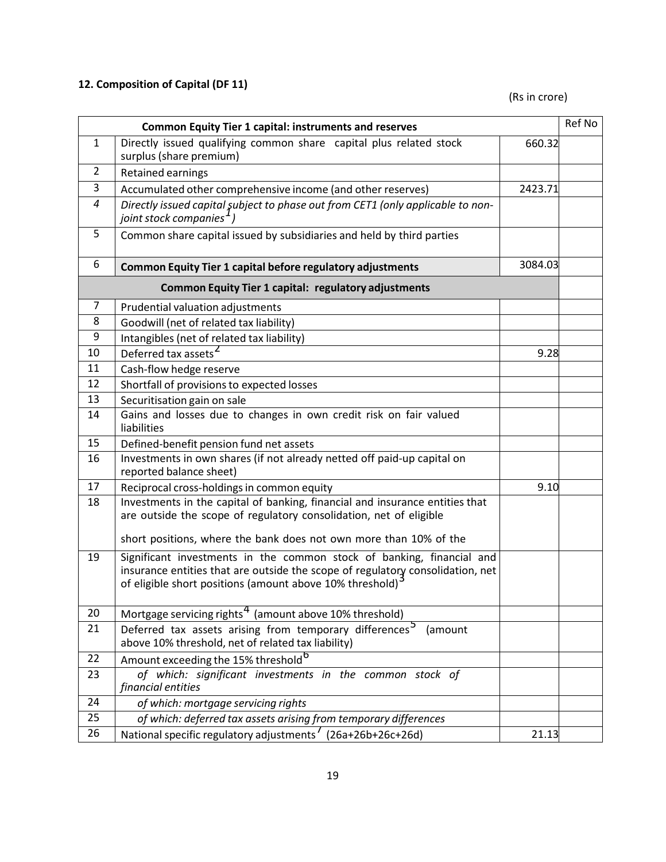# 12. Composition of Capital (DF 11)

(Rs in crore)

|              | <b>Common Equity Tier 1 capital: instruments and reserves</b>                                                                                                                                                                    |         | Ref No |
|--------------|----------------------------------------------------------------------------------------------------------------------------------------------------------------------------------------------------------------------------------|---------|--------|
| $\mathbf{1}$ | Directly issued qualifying common share capital plus related stock<br>surplus (share premium)                                                                                                                                    | 660.32  |        |
| 2            | Retained earnings                                                                                                                                                                                                                |         |        |
| 3            | Accumulated other comprehensive income (and other reserves)                                                                                                                                                                      | 2423.71 |        |
| 4            | Directly issued capital şubject to phase out from CET1 (only applicable to non-<br>joint stock companies <sup>1</sup> )                                                                                                          |         |        |
| 5            | Common share capital issued by subsidiaries and held by third parties                                                                                                                                                            |         |        |
| 6            | <b>Common Equity Tier 1 capital before regulatory adjustments</b>                                                                                                                                                                | 3084.03 |        |
|              | <b>Common Equity Tier 1 capital: regulatory adjustments</b>                                                                                                                                                                      |         |        |
| 7            | Prudential valuation adjustments                                                                                                                                                                                                 |         |        |
| 8            | Goodwill (net of related tax liability)                                                                                                                                                                                          |         |        |
| 9            | Intangibles (net of related tax liability)                                                                                                                                                                                       |         |        |
| 10           | Deferred tax assets <sup>2</sup>                                                                                                                                                                                                 | 9.28    |        |
| 11           | Cash-flow hedge reserve                                                                                                                                                                                                          |         |        |
| 12           | Shortfall of provisions to expected losses                                                                                                                                                                                       |         |        |
| 13           | Securitisation gain on sale                                                                                                                                                                                                      |         |        |
| 14           | Gains and losses due to changes in own credit risk on fair valued<br>liabilities                                                                                                                                                 |         |        |
| 15           | Defined-benefit pension fund net assets                                                                                                                                                                                          |         |        |
| 16           | Investments in own shares (if not already netted off paid-up capital on<br>reported balance sheet)                                                                                                                               |         |        |
| 17           | Reciprocal cross-holdings in common equity                                                                                                                                                                                       | 9.10    |        |
| 18           | Investments in the capital of banking, financial and insurance entities that<br>are outside the scope of regulatory consolidation, net of eligible                                                                               |         |        |
|              | short positions, where the bank does not own more than 10% of the                                                                                                                                                                |         |        |
| 19           | Significant investments in the common stock of banking, financial and<br>insurance entities that are outside the scope of regulatory consolidation, net<br>of eligible short positions (amount above 10% threshold) <sup>3</sup> |         |        |
| 20           | Mortgage servicing rights <sup>4</sup> (amount above 10% threshold)                                                                                                                                                              |         |        |
| 21           | Deferred tax assets arising from temporary differences <sup>5</sup><br>(amount<br>above 10% threshold, net of related tax liability)                                                                                             |         |        |
| 22           | Amount exceeding the 15% threshold <sup>b</sup>                                                                                                                                                                                  |         |        |
| 23           | of which: significant investments in the common stock of<br>financial entities                                                                                                                                                   |         |        |
| 24           | of which: mortgage servicing rights                                                                                                                                                                                              |         |        |
| 25           | of which: deferred tax assets arising from temporary differences                                                                                                                                                                 |         |        |
| 26           | National specific regulatory adjustments <sup>7</sup> (26a+26b+26c+26d)                                                                                                                                                          | 21.13   |        |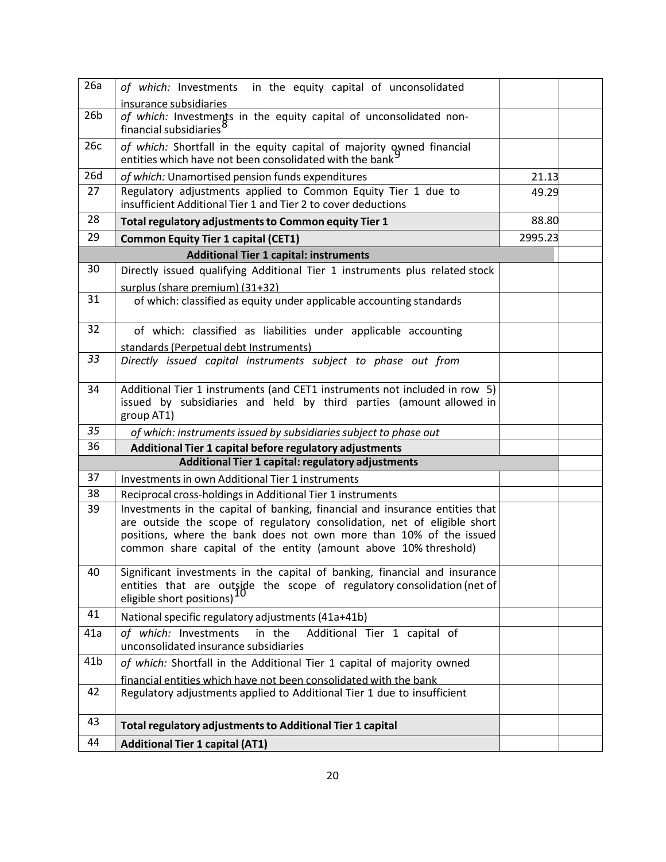| 26a             | of which: Investments in the equity capital of unconsolidated                                                                    |         |  |
|-----------------|----------------------------------------------------------------------------------------------------------------------------------|---------|--|
|                 | insurance subsidiaries                                                                                                           |         |  |
| 26 <sub>b</sub> | of which: Investments in the equity capital of unconsolidated non-<br>financial subsidiaries <sup>8</sup>                        |         |  |
| 26c             | of which: Shortfall in the equity capital of majority owned financial<br>entities which have not been consolidated with the bank |         |  |
| 26d             | of which: Unamortised pension funds expenditures                                                                                 | 21.13   |  |
| 27              | Regulatory adjustments applied to Common Equity Tier 1 due to<br>insufficient Additional Tier 1 and Tier 2 to cover deductions   | 49.29   |  |
| 28              | Total regulatory adjustments to Common equity Tier 1                                                                             | 88.80   |  |
| 29              | <b>Common Equity Tier 1 capital (CET1)</b>                                                                                       | 2995.23 |  |
|                 | <b>Additional Tier 1 capital: instruments</b>                                                                                    |         |  |
| 30              | Directly issued qualifying Additional Tier 1 instruments plus related stock                                                      |         |  |
| 31              | surplus (share premium) (31+32)<br>of which: classified as equity under applicable accounting standards                          |         |  |
| 32              |                                                                                                                                  |         |  |
|                 | of which: classified as liabilities under applicable accounting<br>standards (Perpetual debt Instruments)                        |         |  |
| 33              | Directly issued capital instruments subject to phase out from                                                                    |         |  |
|                 |                                                                                                                                  |         |  |
| 34              | Additional Tier 1 instruments (and CET1 instruments not included in row 5)                                                       |         |  |
|                 | issued by subsidiaries and held by third parties (amount allowed in<br>group AT1)                                                |         |  |
| 35              |                                                                                                                                  |         |  |
| 36              | of which: instruments issued by subsidiaries subject to phase out<br>Additional Tier 1 capital before regulatory adjustments     |         |  |
|                 | Additional Tier 1 capital: regulatory adjustments                                                                                |         |  |
| 37              | Investments in own Additional Tier 1 instruments                                                                                 |         |  |
| 38              | Reciprocal cross-holdings in Additional Tier 1 instruments                                                                       |         |  |
| 39              | Investments in the capital of banking, financial and insurance entities that                                                     |         |  |
|                 | are outside the scope of regulatory consolidation, net of eligible short                                                         |         |  |
|                 | positions, where the bank does not own more than 10% of the issued                                                               |         |  |
|                 | common share capital of the entity (amount above 10% threshold)                                                                  |         |  |
| 40              | Significant investments in the capital of banking, financial and insurance                                                       |         |  |
|                 | entities that are outside the scope of regulatory consolidation (net of                                                          |         |  |
|                 | eligible short positions)                                                                                                        |         |  |
| 41              | National specific regulatory adjustments (41a+41b)                                                                               |         |  |
| 41a             | of which: Investments<br>in the<br>Additional Tier 1 capital of                                                                  |         |  |
|                 | unconsolidated insurance subsidiaries                                                                                            |         |  |
| 41 <sub>b</sub> | of which: Shortfall in the Additional Tier 1 capital of majority owned                                                           |         |  |
| 42              | financial entities which have not been consolidated with the bank                                                                |         |  |
|                 | Regulatory adjustments applied to Additional Tier 1 due to insufficient                                                          |         |  |
| 43              | <b>Total regulatory adjustments to Additional Tier 1 capital</b>                                                                 |         |  |
| 44              | <b>Additional Tier 1 capital (AT1)</b>                                                                                           |         |  |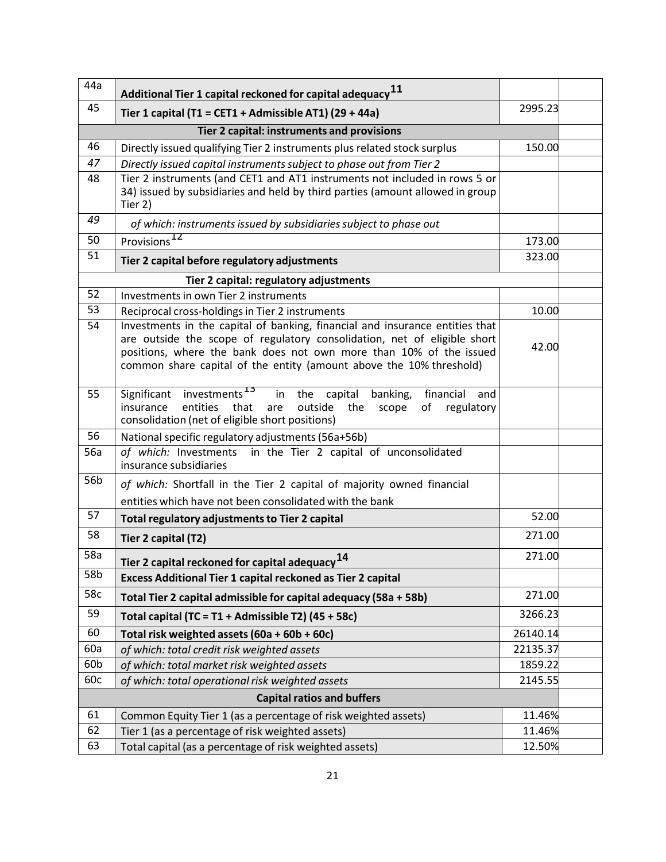| 44a                                        | Additional Tier 1 capital reckoned for capital adequacy $^{11}$                                                                                                                                                                                                                                       |          |  |
|--------------------------------------------|-------------------------------------------------------------------------------------------------------------------------------------------------------------------------------------------------------------------------------------------------------------------------------------------------------|----------|--|
| 45                                         | Tier 1 capital (T1 = CET1 + Admissible AT1) (29 + 44a)                                                                                                                                                                                                                                                | 2995.23  |  |
| Tier 2 capital: instruments and provisions |                                                                                                                                                                                                                                                                                                       |          |  |
| 46                                         | Directly issued qualifying Tier 2 instruments plus related stock surplus                                                                                                                                                                                                                              | 150.00   |  |
| 47                                         | Directly issued capital instruments subject to phase out from Tier 2                                                                                                                                                                                                                                  |          |  |
| 48                                         | Tier 2 instruments (and CET1 and AT1 instruments not included in rows 5 or<br>34) issued by subsidiaries and held by third parties (amount allowed in group<br>Tier 2)                                                                                                                                |          |  |
| 49                                         | of which: instruments issued by subsidiaries subject to phase out                                                                                                                                                                                                                                     |          |  |
| 50                                         | Provisions <sup>12</sup>                                                                                                                                                                                                                                                                              | 173.00   |  |
| 51                                         | Tier 2 capital before regulatory adjustments                                                                                                                                                                                                                                                          | 323.00   |  |
|                                            | Tier 2 capital: regulatory adjustments                                                                                                                                                                                                                                                                |          |  |
| 52                                         | Investments in own Tier 2 instruments                                                                                                                                                                                                                                                                 |          |  |
| 53                                         | Reciprocal cross-holdings in Tier 2 instruments                                                                                                                                                                                                                                                       | 10.00    |  |
| 54                                         | Investments in the capital of banking, financial and insurance entities that<br>are outside the scope of regulatory consolidation, net of eligible short<br>positions, where the bank does not own more than 10% of the issued<br>common share capital of the entity (amount above the 10% threshold) | 42.00    |  |
| 55                                         | Significant investments <sup>13</sup><br>in the<br>capital<br>banking,<br>financial<br>and<br>entities<br>insurance<br>that<br>outside<br>regulatory<br>the<br>scope<br>of<br>are<br>consolidation (net of eligible short positions)                                                                  |          |  |
| 56                                         | National specific regulatory adjustments (56a+56b)                                                                                                                                                                                                                                                    |          |  |
| 56a                                        | of which: Investments in the Tier 2 capital of unconsolidated<br>insurance subsidiaries                                                                                                                                                                                                               |          |  |
| 56b                                        | of which: Shortfall in the Tier 2 capital of majority owned financial                                                                                                                                                                                                                                 |          |  |
|                                            | entities which have not been consolidated with the bank                                                                                                                                                                                                                                               |          |  |
| 57                                         | Total regulatory adjustments to Tier 2 capital                                                                                                                                                                                                                                                        | 52.00    |  |
| 58                                         | Tier 2 capital (T2)                                                                                                                                                                                                                                                                                   | 271.00   |  |
| 58a                                        | Tier 2 capital reckoned for capital adequacy <sup>14</sup>                                                                                                                                                                                                                                            | 271.00   |  |
| 58b                                        | Excess Additional Tier 1 capital reckoned as Tier 2 capital                                                                                                                                                                                                                                           |          |  |
| 58c                                        | Total Tier 2 capital admissible for capital adequacy (58a + 58b)                                                                                                                                                                                                                                      | 271.00   |  |
| 59                                         | Total capital (TC = T1 + Admissible T2) (45 + 58c)                                                                                                                                                                                                                                                    | 3266.23  |  |
| 60                                         | Total risk weighted assets (60a + 60b + 60c)                                                                                                                                                                                                                                                          | 26140.14 |  |
| 60a                                        | of which: total credit risk weighted assets                                                                                                                                                                                                                                                           | 22135.37 |  |
| 60b                                        | of which: total market risk weighted assets                                                                                                                                                                                                                                                           | 1859.22  |  |
| 60c                                        | of which: total operational risk weighted assets                                                                                                                                                                                                                                                      | 2145.55  |  |
| <b>Capital ratios and buffers</b>          |                                                                                                                                                                                                                                                                                                       |          |  |
| 61                                         | Common Equity Tier 1 (as a percentage of risk weighted assets)                                                                                                                                                                                                                                        | 11.46%   |  |
| 62                                         | Tier 1 (as a percentage of risk weighted assets)                                                                                                                                                                                                                                                      | 11.46%   |  |
| 63                                         | Total capital (as a percentage of risk weighted assets)                                                                                                                                                                                                                                               | 12.50%   |  |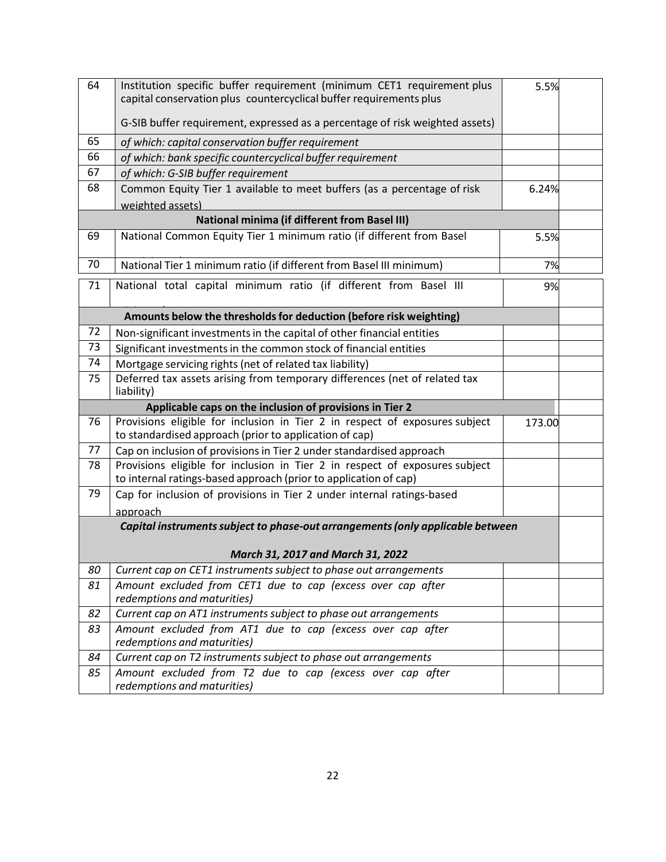| 64                                                       | Institution specific buffer requirement (minimum CET1 requirement plus<br>5.5%<br>capital conservation plus countercyclical buffer requirements plus |        |  |
|----------------------------------------------------------|------------------------------------------------------------------------------------------------------------------------------------------------------|--------|--|
|                                                          | G-SIB buffer requirement, expressed as a percentage of risk weighted assets)                                                                         |        |  |
| 65                                                       | of which: capital conservation buffer requirement                                                                                                    |        |  |
| 66                                                       | of which: bank specific countercyclical buffer requirement                                                                                           |        |  |
| 67                                                       | of which: G-SIB buffer requirement                                                                                                                   |        |  |
| 68                                                       | Common Equity Tier 1 available to meet buffers (as a percentage of risk                                                                              | 6.24%  |  |
|                                                          | weighted assets)                                                                                                                                     |        |  |
|                                                          | <b>National minima (if different from Basel III)</b>                                                                                                 |        |  |
| 69                                                       | National Common Equity Tier 1 minimum ratio (if different from Basel                                                                                 | 5.5%   |  |
| 70                                                       | National Tier 1 minimum ratio (if different from Basel III minimum)                                                                                  | 7%     |  |
| 71                                                       | National total capital minimum ratio (if different from Basel III                                                                                    | 9%     |  |
|                                                          | Amounts below the thresholds for deduction (before risk weighting)                                                                                   |        |  |
| 72                                                       | Non-significant investments in the capital of other financial entities                                                                               |        |  |
| 73                                                       | Significant investments in the common stock of financial entities                                                                                    |        |  |
| 74                                                       | Mortgage servicing rights (net of related tax liability)                                                                                             |        |  |
| 75                                                       | Deferred tax assets arising from temporary differences (net of related tax<br>liability)                                                             |        |  |
| Applicable caps on the inclusion of provisions in Tier 2 |                                                                                                                                                      |        |  |
| 76                                                       | Provisions eligible for inclusion in Tier 2 in respect of exposures subject<br>to standardised approach (prior to application of cap)                | 173.00 |  |
| 77                                                       | Cap on inclusion of provisions in Tier 2 under standardised approach                                                                                 |        |  |
| 78                                                       | Provisions eligible for inclusion in Tier 2 in respect of exposures subject<br>to internal ratings-based approach (prior to application of cap)      |        |  |
| 79                                                       | Cap for inclusion of provisions in Tier 2 under internal ratings-based                                                                               |        |  |
|                                                          | approach                                                                                                                                             |        |  |
|                                                          | Capital instruments subject to phase-out arrangements (only applicable between                                                                       |        |  |
|                                                          | March 31, 2017 and March 31, 2022                                                                                                                    |        |  |
| 80                                                       | Current cap on CET1 instruments subject to phase out arrangements                                                                                    |        |  |
| 81                                                       | Amount excluded from CET1 due to cap (excess over cap after<br>redemptions and maturities)                                                           |        |  |
| 82                                                       | Current cap on AT1 instruments subject to phase out arrangements                                                                                     |        |  |
| 83                                                       | Amount excluded from AT1 due to cap (excess over cap after<br>redemptions and maturities)                                                            |        |  |
| 84                                                       | Current cap on T2 instruments subject to phase out arrangements                                                                                      |        |  |
| 85                                                       | Amount excluded from T2 due to cap (excess over cap after<br>redemptions and maturities)                                                             |        |  |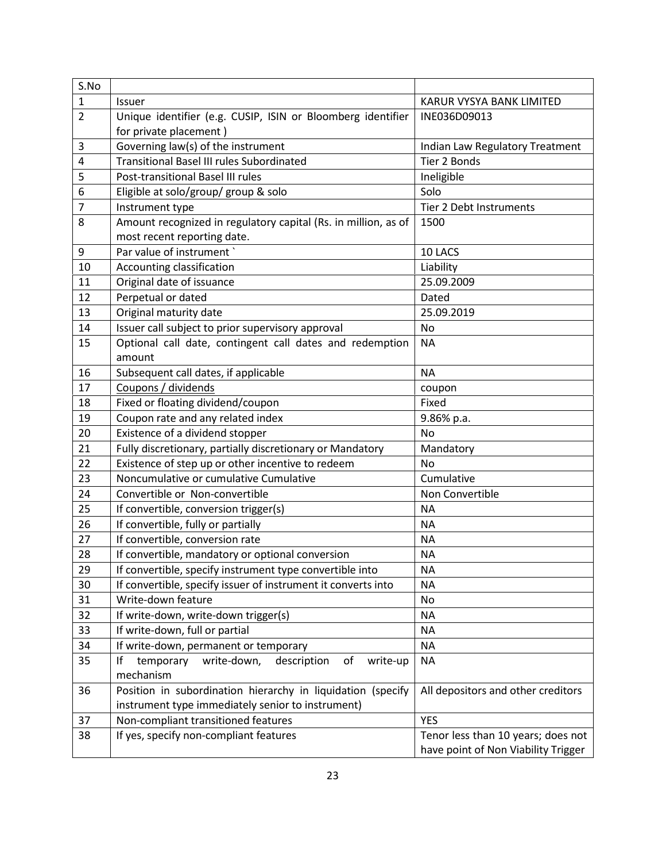| S.No           |                                                                 |                                     |  |
|----------------|-----------------------------------------------------------------|-------------------------------------|--|
| $\mathbf{1}$   | Issuer                                                          | KARUR VYSYA BANK LIMITED            |  |
| $\overline{2}$ | Unique identifier (e.g. CUSIP, ISIN or Bloomberg identifier     | INE036D09013                        |  |
|                | for private placement)                                          |                                     |  |
| 3              | Governing law(s) of the instrument                              | Indian Law Regulatory Treatment     |  |
| 4              | <b>Transitional Basel III rules Subordinated</b>                | Tier 2 Bonds                        |  |
| 5              | Post-transitional Basel III rules                               | Ineligible                          |  |
| 6              | Eligible at solo/group/ group & solo                            | Solo                                |  |
| 7              | Instrument type                                                 | Tier 2 Debt Instruments             |  |
| 8              | Amount recognized in regulatory capital (Rs. in million, as of  | 1500                                |  |
|                | most recent reporting date.                                     |                                     |  |
| 9              | Par value of instrument `                                       | 10 LACS                             |  |
| 10             | Accounting classification                                       | Liability                           |  |
| 11             | Original date of issuance                                       | 25.09.2009                          |  |
| 12             | Perpetual or dated                                              | Dated                               |  |
| 13             | Original maturity date                                          | 25.09.2019                          |  |
| 14             | Issuer call subject to prior supervisory approval               | No                                  |  |
| 15             | Optional call date, contingent call dates and redemption        | <b>NA</b>                           |  |
|                | amount                                                          |                                     |  |
| 16             | Subsequent call dates, if applicable                            | <b>NA</b>                           |  |
| 17             | Coupons / dividends                                             | coupon                              |  |
| 18             | Fixed or floating dividend/coupon                               | Fixed                               |  |
| 19             | Coupon rate and any related index                               | 9.86% p.a.                          |  |
| 20             | Existence of a dividend stopper                                 | No                                  |  |
| 21             | Fully discretionary, partially discretionary or Mandatory       | Mandatory                           |  |
| 22             | Existence of step up or other incentive to redeem               | <b>No</b>                           |  |
| 23             | Noncumulative or cumulative Cumulative                          | Cumulative                          |  |
| 24             | Convertible or Non-convertible                                  | Non Convertible                     |  |
| 25             | If convertible, conversion trigger(s)                           | <b>NA</b>                           |  |
| 26             | If convertible, fully or partially                              | <b>NA</b>                           |  |
| 27             | If convertible, conversion rate                                 | <b>NA</b>                           |  |
| 28             | If convertible, mandatory or optional conversion                | <b>NA</b>                           |  |
| 29             | If convertible, specify instrument type convertible into        | <b>NA</b>                           |  |
| 30             | If convertible, specify issuer of instrument it converts into   | <b>NA</b>                           |  |
| 31             | Write-down feature                                              | No                                  |  |
| 32             | If write-down, write-down trigger(s)                            | <b>NA</b>                           |  |
| 33             | If write-down, full or partial                                  | <b>NA</b>                           |  |
| 34             | If write-down, permanent or temporary                           | <b>NA</b>                           |  |
| 35             | write-down,<br>of<br>If<br>temporary<br>description<br>write-up | <b>NA</b>                           |  |
|                | mechanism                                                       |                                     |  |
| 36             | Position in subordination hierarchy in liquidation (specify     | All depositors and other creditors  |  |
|                | instrument type immediately senior to instrument)               |                                     |  |
| 37             | Non-compliant transitioned features                             | <b>YES</b>                          |  |
| 38             | If yes, specify non-compliant features                          | Tenor less than 10 years; does not  |  |
|                |                                                                 | have point of Non Viability Trigger |  |